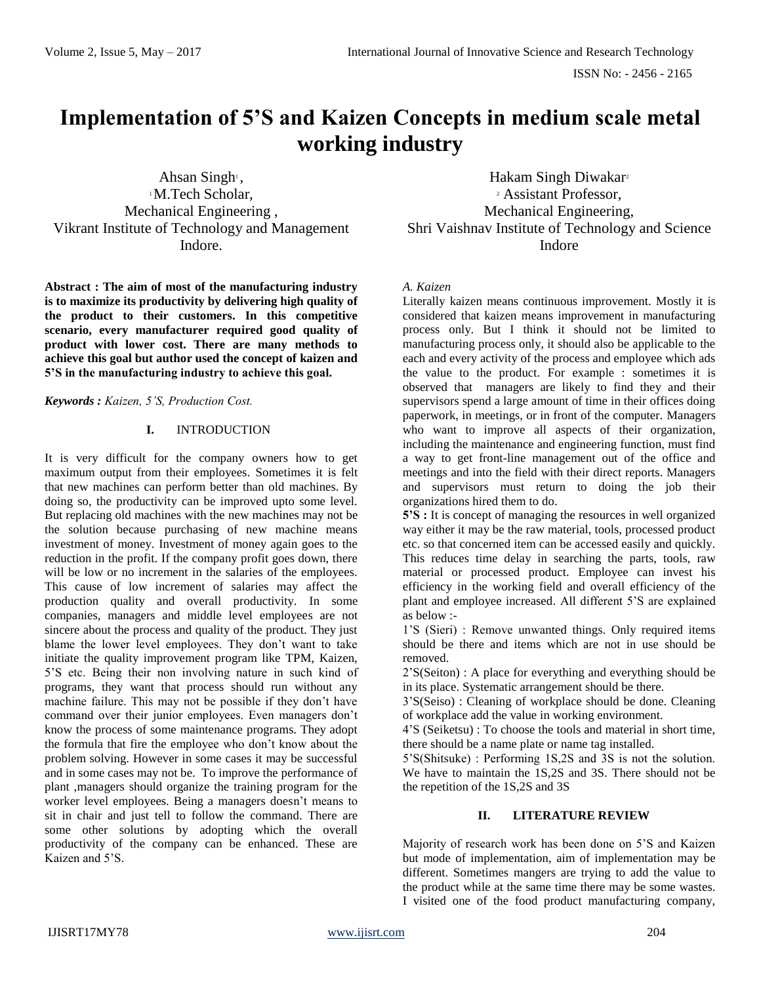# **Implementation of 5'S and Kaizen Concepts in medium scale metal working industry**

Ahsan Singh<sup>1</sup>, <sup>1</sup>M.Tech Scholar, Mechanical Engineering , Vikrant Institute of Technology and Management Indore.

**Abstract : The aim of most of the manufacturing industry is to maximize its productivity by delivering high quality of the product to their customers. In this competitive scenario, every manufacturer required good quality of product with lower cost. There are many methods to achieve this goal but author used the concept of kaizen and 5'S in the manufacturing industry to achieve this goal.**

*Keywords : Kaizen, 5'S, Production Cost.*

## **I.** INTRODUCTION

It is very difficult for the company owners how to get maximum output from their employees. Sometimes it is felt that new machines can perform better than old machines. By doing so, the productivity can be improved upto some level. But replacing old machines with the new machines may not be the solution because purchasing of new machine means investment of money. Investment of money again goes to the reduction in the profit. If the company profit goes down, there will be low or no increment in the salaries of the employees. This cause of low increment of salaries may affect the production quality and overall productivity. In some companies, managers and middle level employees are not sincere about the process and quality of the product. They just blame the lower level employees. They don't want to take initiate the quality improvement program like TPM, Kaizen, 5'S etc. Being their non involving nature in such kind of programs, they want that process should run without any machine failure. This may not be possible if they don't have command over their junior employees. Even managers don't know the process of some maintenance programs. They adopt the formula that fire the employee who don't know about the problem solving. However in some cases it may be successful and in some cases may not be. To improve the performance of plant ,managers should organize the training program for the worker level employees. Being a managers doesn't means to sit in chair and just tell to follow the command. There are some other solutions by adopting which the overall productivity of the company can be enhanced. These are Kaizen and 5'S.

Hakam Singh Diwakar<sup>2</sup> <sup>2</sup> Assistant Professor, Mechanical Engineering, Shri Vaishnav Institute of Technology and Science Indore

## *A. Kaizen*

Literally kaizen means continuous improvement. Mostly it is considered that kaizen means improvement in manufacturing process only. But I think it should not be limited to manufacturing process only, it should also be applicable to the each and every activity of the process and employee which ads the value to the product. For example : sometimes it is observed that managers are likely to find they and their supervisors spend a large amount of time in their offices doing paperwork, in meetings, or in front of the computer. Managers who want to improve all aspects of their organization, including the maintenance and engineering function, must find a way to get front-line management out of the office and meetings and into the field with their direct reports. Managers and supervisors must return to doing the job their organizations hired them to do.

**5'S :** It is concept of managing the resources in well organized way either it may be the raw material, tools, processed product etc. so that concerned item can be accessed easily and quickly. This reduces time delay in searching the parts, tools, raw material or processed product. Employee can invest his efficiency in the working field and overall efficiency of the plant and employee increased. All different 5'S are explained as below :-

1'S (Sieri) : Remove unwanted things. Only required items should be there and items which are not in use should be removed.

2'S(Seiton) : A place for everything and everything should be in its place. Systematic arrangement should be there.

3'S(Seiso) : Cleaning of workplace should be done. Cleaning of workplace add the value in working environment.

4'S (Seiketsu) : To choose the tools and material in short time, there should be a name plate or name tag installed.

5'S(Shitsuke) : Performing 1S,2S and 3S is not the solution. We have to maintain the 1S,2S and 3S. There should not be the repetition of the 1S,2S and 3S

## **II. LITERATURE REVIEW**

Majority of research work has been done on 5'S and Kaizen but mode of implementation, aim of implementation may be different. Sometimes mangers are trying to add the value to the product while at the same time there may be some wastes. I visited one of the food product manufacturing company,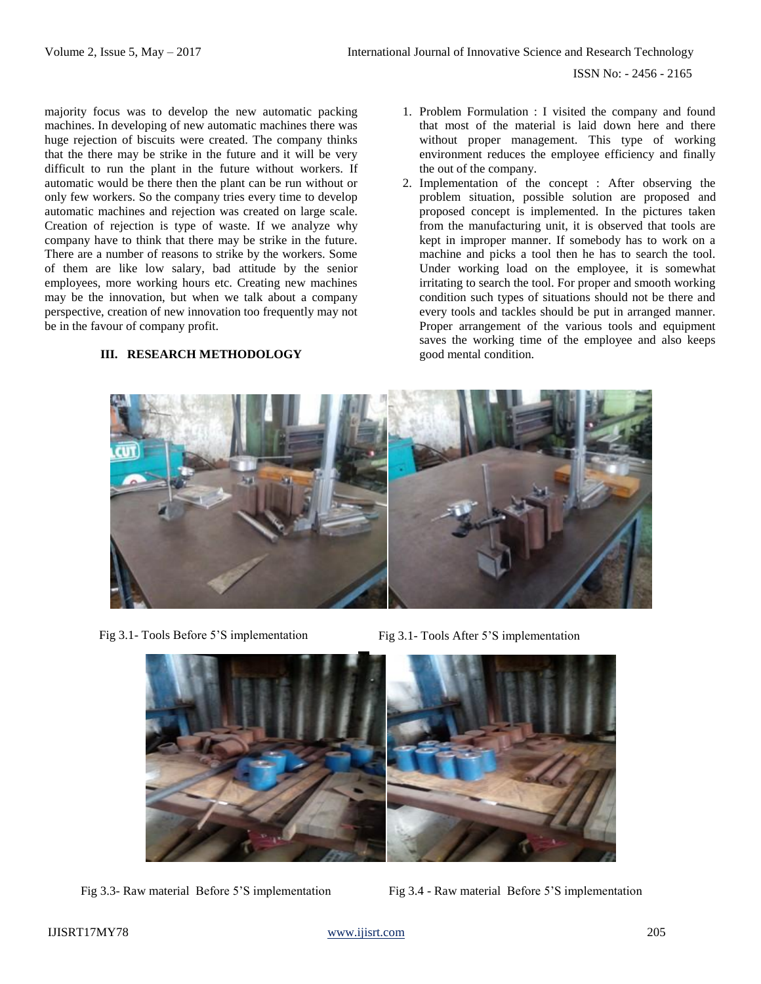ISSN No: - 2456 - 2165

majority focus was to develop the new automatic packing machines. In developing of new automatic machines there was huge rejection of biscuits were created. The company thinks that the there may be strike in the future and it will be very difficult to run the plant in the future without workers. If automatic would be there then the plant can be run without or only few workers. So the company tries every time to develop automatic machines and rejection was created on large scale. Creation of rejection is type of waste. If we analyze why company have to think that there may be strike in the future. There are a number of reasons to strike by the workers. Some of them are like low salary, bad attitude by the senior employees, more working hours etc. Creating new machines may be the innovation, but when we talk about a company perspective, creation of new innovation too frequently may not be in the favour of company profit.

### **III. RESEARCH METHODOLOGY**

- 1. Problem Formulation : I visited the company and found that most of the material is laid down here and there without proper management. This type of working environment reduces the employee efficiency and finally the out of the company.
- 2. Implementation of the concept : After observing the problem situation, possible solution are proposed and proposed concept is implemented. In the pictures taken from the manufacturing unit, it is observed that tools are kept in improper manner. If somebody has to work on a machine and picks a tool then he has to search the tool. Under working load on the employee, it is somewhat irritating to search the tool. For proper and smooth working condition such types of situations should not be there and every tools and tackles should be put in arranged manner. Proper arrangement of the various tools and equipment saves the working time of the employee and also keeps good mental condition.







Fig 3.3- Raw material Before 5'S implementation Fig 3.4 - Raw material Before 5'S implementation